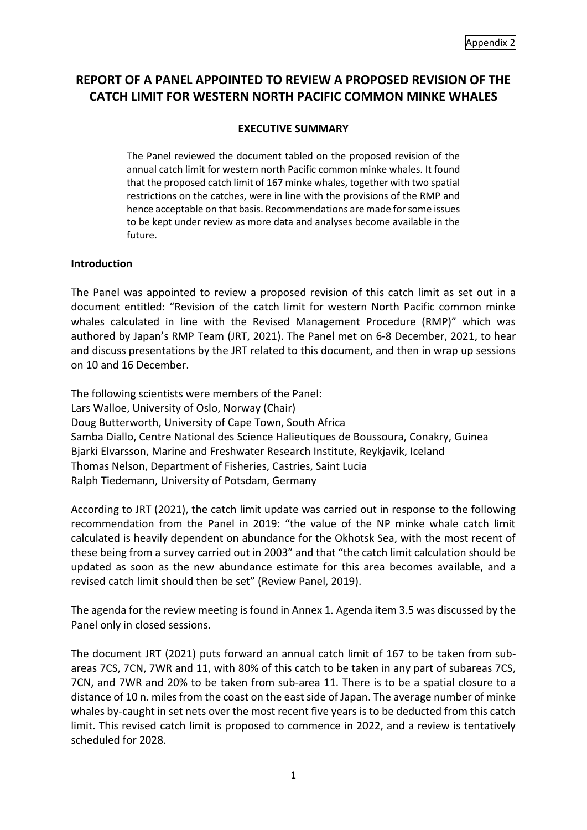# **REPORT OF A PANEL APPOINTED TO REVIEW A PROPOSED REVISION OF THE CATCH LIMIT FOR WESTERN NORTH PACIFIC COMMON MINKE WHALES**

## **EXECUTIVE SUMMARY**

The Panel reviewed the document tabled on the proposed revision of the annual catch limit for western north Pacific common minke whales. It found that the proposed catch limit of 167 minke whales, together with two spatial restrictions on the catches, were in line with the provisions of the RMP and hence acceptable on that basis. Recommendations are made for some issues to be kept under review as more data and analyses become available in the future.

#### **Introduction**

The Panel was appointed to review a proposed revision of this catch limit as set out in a document entitled: "Revision of the catch limit for western North Pacific common minke whales calculated in line with the Revised Management Procedure (RMP)" which was authored by Japan's RMP Team (JRT, 2021). The Panel met on 6-8 December, 2021, to hear and discuss presentations by the JRT related to this document, and then in wrap up sessions on 10 and 16 December.

The following scientists were members of the Panel: Lars Walloe, University of Oslo, Norway (Chair) Doug Butterworth, University of Cape Town, South Africa Samba Diallo, Centre National des Science Halieutiques de Boussoura, Conakry, Guinea Bjarki Elvarsson, Marine and Freshwater Research Institute, Reykjavik, Iceland Thomas Nelson, Department of Fisheries, Castries, Saint Lucia Ralph Tiedemann, University of Potsdam, Germany

According to JRT (2021), the catch limit update was carried out in response to the following recommendation from the Panel in 2019: "the value of the NP minke whale catch limit calculated is heavily dependent on abundance for the Okhotsk Sea, with the most recent of these being from a survey carried out in 2003" and that "the catch limit calculation should be updated as soon as the new abundance estimate for this area becomes available, and a revised catch limit should then be set" (Review Panel, 2019).

The agenda for the review meeting is found in Annex 1. Agenda item 3.5 was discussed by the Panel only in closed sessions.

The document JRT (2021) puts forward an annual catch limit of 167 to be taken from subareas 7CS, 7CN, 7WR and 11, with 80% of this catch to be taken in any part of subareas 7CS, 7CN, and 7WR and 20% to be taken from sub-area 11. There is to be a spatial closure to a distance of 10 n. miles from the coast on the east side of Japan. The average number of minke whales by-caught in set nets over the most recent five years is to be deducted from this catch limit. This revised catch limit is proposed to commence in 2022, and a review is tentatively scheduled for 2028.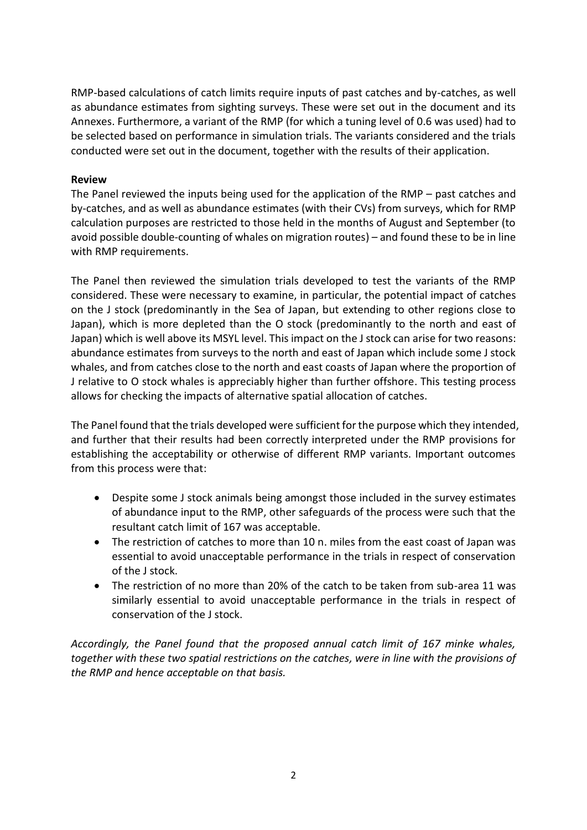RMP-based calculations of catch limits require inputs of past catches and by-catches, as well as abundance estimates from sighting surveys. These were set out in the document and its Annexes. Furthermore, a variant of the RMP (for which a tuning level of 0.6 was used) had to be selected based on performance in simulation trials. The variants considered and the trials conducted were set out in the document, together with the results of their application.

### **Review**

The Panel reviewed the inputs being used for the application of the RMP – past catches and by-catches, and as well as abundance estimates (with their CVs) from surveys, which for RMP calculation purposes are restricted to those held in the months of August and September (to avoid possible double-counting of whales on migration routes) – and found these to be in line with RMP requirements.

The Panel then reviewed the simulation trials developed to test the variants of the RMP considered. These were necessary to examine, in particular, the potential impact of catches on the J stock (predominantly in the Sea of Japan, but extending to other regions close to Japan), which is more depleted than the O stock (predominantly to the north and east of Japan) which is well above its MSYL level. This impact on the J stock can arise for two reasons: abundance estimates from surveys to the north and east of Japan which include some J stock whales, and from catches close to the north and east coasts of Japan where the proportion of J relative to O stock whales is appreciably higher than further offshore. This testing process allows for checking the impacts of alternative spatial allocation of catches.

The Panel found that the trials developed were sufficient for the purpose which they intended, and further that their results had been correctly interpreted under the RMP provisions for establishing the acceptability or otherwise of different RMP variants. Important outcomes from this process were that:

- Despite some J stock animals being amongst those included in the survey estimates of abundance input to the RMP, other safeguards of the process were such that the resultant catch limit of 167 was acceptable.
- The restriction of catches to more than 10 n. miles from the east coast of Japan was essential to avoid unacceptable performance in the trials in respect of conservation of the J stock.
- The restriction of no more than 20% of the catch to be taken from sub-area 11 was similarly essential to avoid unacceptable performance in the trials in respect of conservation of the J stock.

*Accordingly, the Panel found that the proposed annual catch limit of 167 minke whales, together with these two spatial restrictions on the catches, were in line with the provisions of the RMP and hence acceptable on that basis.*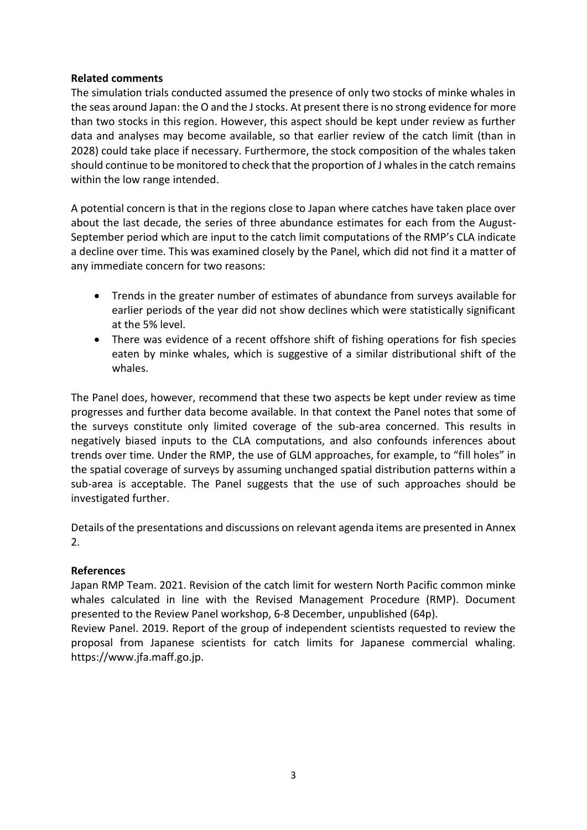## **Related comments**

The simulation trials conducted assumed the presence of only two stocks of minke whales in the seas around Japan: the O and the J stocks. At present there is no strong evidence for more than two stocks in this region. However, this aspect should be kept under review as further data and analyses may become available, so that earlier review of the catch limit (than in 2028) could take place if necessary. Furthermore, the stock composition of the whales taken should continue to be monitored to check that the proportion of J whales in the catch remains within the low range intended.

A potential concern is that in the regions close to Japan where catches have taken place over about the last decade, the series of three abundance estimates for each from the August-September period which are input to the catch limit computations of the RMP's CLA indicate a decline over time. This was examined closely by the Panel, which did not find it a matter of any immediate concern for two reasons:

- Trends in the greater number of estimates of abundance from surveys available for earlier periods of the year did not show declines which were statistically significant at the 5% level.
- There was evidence of a recent offshore shift of fishing operations for fish species eaten by minke whales, which is suggestive of a similar distributional shift of the whales.

The Panel does, however, recommend that these two aspects be kept under review as time progresses and further data become available. In that context the Panel notes that some of the surveys constitute only limited coverage of the sub-area concerned. This results in negatively biased inputs to the CLA computations, and also confounds inferences about trends over time. Under the RMP, the use of GLM approaches, for example, to "fill holes" in the spatial coverage of surveys by assuming unchanged spatial distribution patterns within a sub-area is acceptable. The Panel suggests that the use of such approaches should be investigated further.

Details of the presentations and discussions on relevant agenda items are presented in Annex 2.

## **References**

Japan RMP Team. 2021. Revision of the catch limit for western North Pacific common minke whales calculated in line with the Revised Management Procedure (RMP). Document presented to the Review Panel workshop, 6-8 December, unpublished (64p).

Review Panel. 2019. Report of the group of independent scientists requested to review the proposal from Japanese scientists for catch limits for Japanese commercial whaling. https://www.jfa.maff.go.jp.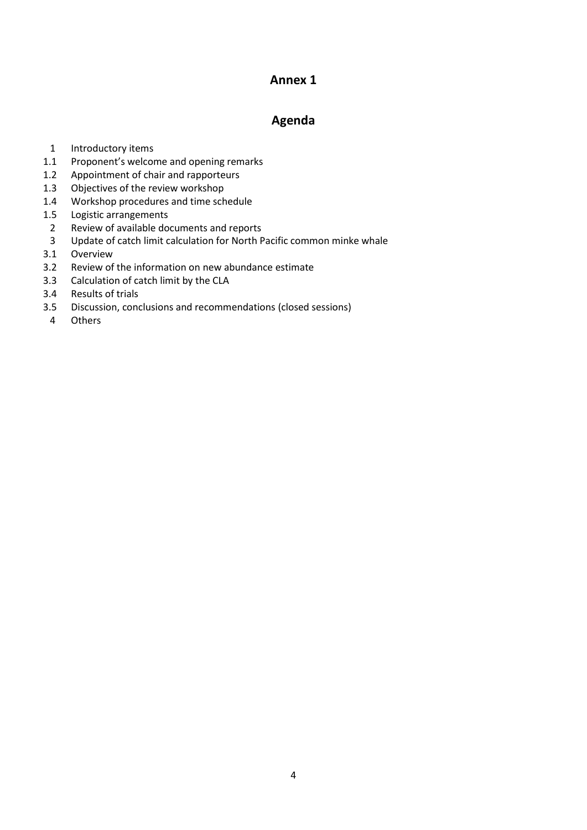## **Annex 1**

## **Agenda**

- 1 Introductory items
- 1.1 Proponent's welcome and opening remarks
- 1.2 Appointment of chair and rapporteurs
- 1.3 Objectives of the review workshop
- 1.4 Workshop procedures and time schedule
- 1.5 Logistic arrangements
- 2 Review of available documents and reports
- 3 Update of catch limit calculation for North Pacific common minke whale
- 3.1 Overview
- 3.2 Review of the information on new abundance estimate
- 3.3 Calculation of catch limit by the CLA
- 3.4 Results of trials
- 3.5 Discussion, conclusions and recommendations (closed sessions)
- 4 Others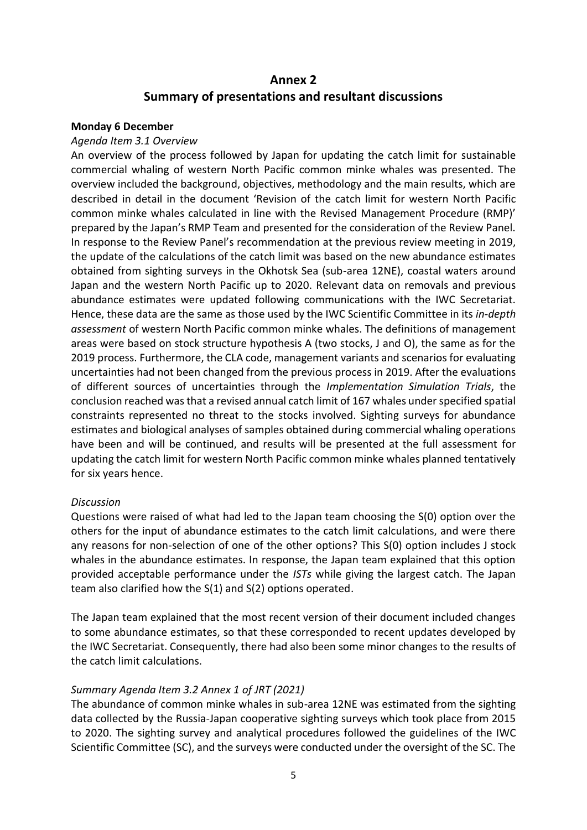## **Annex 2 Summary of presentations and resultant discussions**

#### **Monday 6 December**

#### *Agenda Item 3.1 Overview*

An overview of the process followed by Japan for updating the catch limit for sustainable commercial whaling of western North Pacific common minke whales was presented. The overview included the background, objectives, methodology and the main results, which are described in detail in the document 'Revision of the catch limit for western North Pacific common minke whales calculated in line with the Revised Management Procedure (RMP)' prepared by the Japan's RMP Team and presented for the consideration of the Review Panel. In response to the Review Panel's recommendation at the previous review meeting in 2019, the update of the calculations of the catch limit was based on the new abundance estimates obtained from sighting surveys in the Okhotsk Sea (sub-area 12NE), coastal waters around Japan and the western North Pacific up to 2020. Relevant data on removals and previous abundance estimates were updated following communications with the IWC Secretariat. Hence, these data are the same as those used by the IWC Scientific Committee in its *in-depth assessment* of western North Pacific common minke whales. The definitions of management areas were based on stock structure hypothesis A (two stocks, J and O), the same as for the 2019 process. Furthermore, the CLA code, management variants and scenarios for evaluating uncertainties had not been changed from the previous process in 2019. After the evaluations of different sources of uncertainties through the *Implementation Simulation Trials*, the conclusion reached was that a revised annual catch limit of 167 whales under specified spatial constraints represented no threat to the stocks involved. Sighting surveys for abundance estimates and biological analyses of samples obtained during commercial whaling operations have been and will be continued, and results will be presented at the full assessment for updating the catch limit for western North Pacific common minke whales planned tentatively for six years hence.

#### *Discussion*

Questions were raised of what had led to the Japan team choosing the S(0) option over the others for the input of abundance estimates to the catch limit calculations, and were there any reasons for non-selection of one of the other options? This S(0) option includes J stock whales in the abundance estimates. In response, the Japan team explained that this option provided acceptable performance under the *ISTs* while giving the largest catch. The Japan team also clarified how the S(1) and S(2) options operated.

The Japan team explained that the most recent version of their document included changes to some abundance estimates, so that these corresponded to recent updates developed by the IWC Secretariat. Consequently, there had also been some minor changes to the results of the catch limit calculations.

## *Summary Agenda Item 3.2 Annex 1 of JRT (2021)*

The abundance of common minke whales in sub-area 12NE was estimated from the sighting data collected by the Russia-Japan cooperative sighting surveys which took place from 2015 to 2020. The sighting survey and analytical procedures followed the guidelines of the IWC Scientific Committee (SC), and the surveys were conducted under the oversight of the SC. The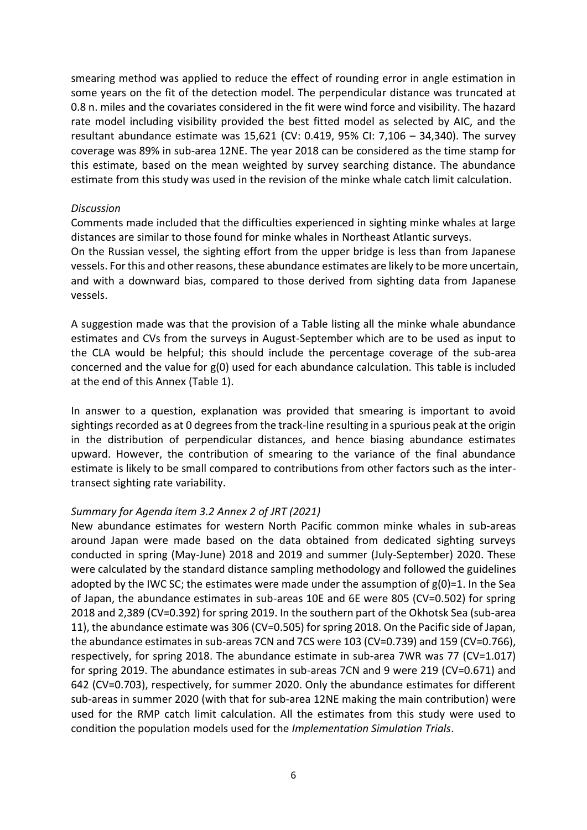smearing method was applied to reduce the effect of rounding error in angle estimation in some years on the fit of the detection model. The perpendicular distance was truncated at 0.8 n. miles and the covariates considered in the fit were wind force and visibility. The hazard rate model including visibility provided the best fitted model as selected by AIC, and the resultant abundance estimate was 15,621 (CV: 0.419, 95% CI: 7,106 – 34,340). The survey coverage was 89% in sub-area 12NE. The year 2018 can be considered as the time stamp for this estimate, based on the mean weighted by survey searching distance. The abundance estimate from this study was used in the revision of the minke whale catch limit calculation.

#### *Discussion*

vessels.

Comments made included that the difficulties experienced in sighting minke whales at large distances are similar to those found for minke whales in Northeast Atlantic surveys. On the Russian vessel, the sighting effort from the upper bridge is less than from Japanese vessels. For this and other reasons, these abundance estimates are likely to be more uncertain, and with a downward bias, compared to those derived from sighting data from Japanese

A suggestion made was that the provision of a Table listing all the minke whale abundance estimates and CVs from the surveys in August-September which are to be used as input to the CLA would be helpful; this should include the percentage coverage of the sub-area concerned and the value for g(0) used for each abundance calculation. This table is included

at the end of this Annex (Table 1).

In answer to a question, explanation was provided that smearing is important to avoid sightings recorded as at 0 degrees from the track-line resulting in a spurious peak at the origin in the distribution of perpendicular distances, and hence biasing abundance estimates upward. However, the contribution of smearing to the variance of the final abundance estimate is likely to be small compared to contributions from other factors such as the intertransect sighting rate variability.

#### *Summary for Agenda item 3.2 Annex 2 of JRT (2021)*

New abundance estimates for western North Pacific common minke whales in sub-areas around Japan were made based on the data obtained from dedicated sighting surveys conducted in spring (May-June) 2018 and 2019 and summer (July-September) 2020. These were calculated by the standard distance sampling methodology and followed the guidelines adopted by the IWC SC; the estimates were made under the assumption of g(0)=1. In the Sea of Japan, the abundance estimates in sub-areas 10E and 6E were 805 (CV=0.502) for spring 2018 and 2,389 (CV=0.392) for spring 2019. In the southern part of the Okhotsk Sea (sub-area 11), the abundance estimate was 306 (CV=0.505) for spring 2018. On the Pacific side of Japan, the abundance estimates in sub-areas 7CN and 7CS were 103 (CV=0.739) and 159 (CV=0.766), respectively, for spring 2018. The abundance estimate in sub-area 7WR was 77 (CV=1.017) for spring 2019. The abundance estimates in sub-areas 7CN and 9 were 219 (CV=0.671) and 642 (CV=0.703), respectively, for summer 2020. Only the abundance estimates for different sub-areas in summer 2020 (with that for sub-area 12NE making the main contribution) were used for the RMP catch limit calculation. All the estimates from this study were used to condition the population models used for the *Implementation Simulation Trials*.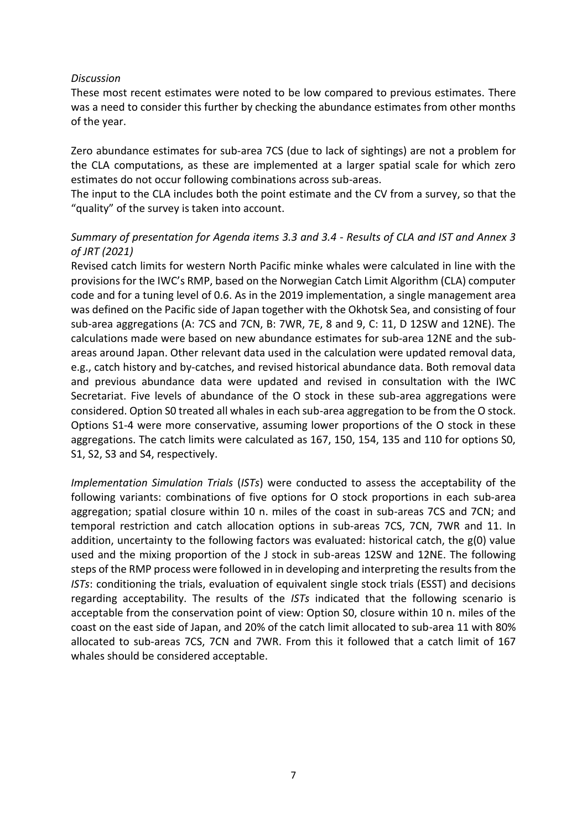#### *Discussion*

These most recent estimates were noted to be low compared to previous estimates. There was a need to consider this further by checking the abundance estimates from other months of the year.

Zero abundance estimates for sub-area 7CS (due to lack of sightings) are not a problem for the CLA computations, as these are implemented at a larger spatial scale for which zero estimates do not occur following combinations across sub-areas.

The input to the CLA includes both the point estimate and the CV from a survey, so that the "quality" of the survey is taken into account.

## *Summary of presentation for Agenda items 3.3 and 3.4 - Results of CLA and IST and Annex 3 of JRT (2021)*

Revised catch limits for western North Pacific minke whales were calculated in line with the provisions for the IWC's RMP, based on the Norwegian Catch Limit Algorithm (CLA) computer code and for a tuning level of 0.6. As in the 2019 implementation, a single management area was defined on the Pacific side of Japan together with the Okhotsk Sea, and consisting of four sub-area aggregations (A: 7CS and 7CN, B: 7WR, 7E, 8 and 9, C: 11, D 12SW and 12NE). The calculations made were based on new abundance estimates for sub-area 12NE and the subareas around Japan. Other relevant data used in the calculation were updated removal data, e.g., catch history and by-catches, and revised historical abundance data. Both removal data and previous abundance data were updated and revised in consultation with the IWC Secretariat. Five levels of abundance of the O stock in these sub-area aggregations were considered. Option S0 treated all whales in each sub-area aggregation to be from the O stock. Options S1-4 were more conservative, assuming lower proportions of the O stock in these aggregations. The catch limits were calculated as 167, 150, 154, 135 and 110 for options S0, S1, S2, S3 and S4, respectively.

*Implementation Simulation Trials* (*ISTs*) were conducted to assess the acceptability of the following variants: combinations of five options for O stock proportions in each sub-area aggregation; spatial closure within 10 n. miles of the coast in sub-areas 7CS and 7CN; and temporal restriction and catch allocation options in sub-areas 7CS, 7CN, 7WR and 11. In addition, uncertainty to the following factors was evaluated: historical catch, the g(0) value used and the mixing proportion of the J stock in sub-areas 12SW and 12NE. The following steps of the RMP process were followed in in developing and interpreting the results from the *ISTs*: conditioning the trials, evaluation of equivalent single stock trials (ESST) and decisions regarding acceptability. The results of the *ISTs* indicated that the following scenario is acceptable from the conservation point of view: Option S0, closure within 10 n. miles of the coast on the east side of Japan, and 20% of the catch limit allocated to sub-area 11 with 80% allocated to sub-areas 7CS, 7CN and 7WR. From this it followed that a catch limit of 167 whales should be considered acceptable.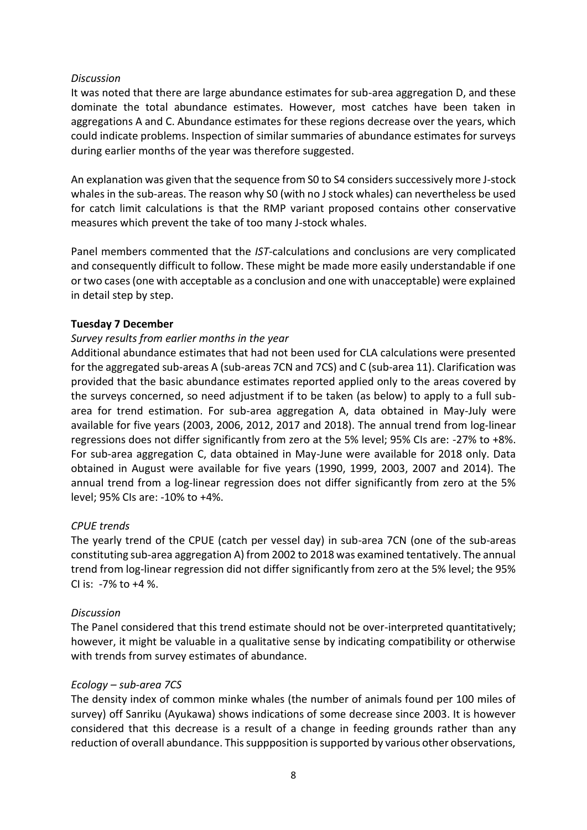#### *Discussion*

It was noted that there are large abundance estimates for sub-area aggregation D, and these dominate the total abundance estimates. However, most catches have been taken in aggregations A and C. Abundance estimates for these regions decrease over the years, which could indicate problems. Inspection of similar summaries of abundance estimates for surveys during earlier months of the year was therefore suggested.

An explanation was given that the sequence from S0 to S4 considers successively more J-stock whales in the sub-areas. The reason why S0 (with no J stock whales) can nevertheless be used for catch limit calculations is that the RMP variant proposed contains other conservative measures which prevent the take of too many J-stock whales.

Panel members commented that the *IST*-calculations and conclusions are very complicated and consequently difficult to follow. These might be made more easily understandable if one or two cases (one with acceptable as a conclusion and one with unacceptable) were explained in detail step by step.

## **Tuesday 7 December**

## *Survey results from earlier months in the year*

Additional abundance estimates that had not been used for CLA calculations were presented for the aggregated sub-areas A (sub-areas 7CN and 7CS) and C (sub-area 11). Clarification was provided that the basic abundance estimates reported applied only to the areas covered by the surveys concerned, so need adjustment if to be taken (as below) to apply to a full subarea for trend estimation. For sub-area aggregation A, data obtained in May-July were available for five years (2003, 2006, 2012, 2017 and 2018). The annual trend from log-linear regressions does not differ significantly from zero at the 5% level; 95% CIs are: -27% to +8%. For sub-area aggregation C, data obtained in May-June were available for 2018 only. Data obtained in August were available for five years (1990, 1999, 2003, 2007 and 2014). The annual trend from a log-linear regression does not differ significantly from zero at the 5% level; 95% CIs are: -10% to +4%.

## *CPUE trends*

The yearly trend of the CPUE (catch per vessel day) in sub-area 7CN (one of the sub-areas constituting sub-area aggregation A) from 2002 to 2018 was examined tentatively. The annual trend from log-linear regression did not differ significantly from zero at the 5% level; the 95% CI is: -7% to +4 %.

#### *Discussion*

The Panel considered that this trend estimate should not be over-interpreted quantitatively; however, it might be valuable in a qualitative sense by indicating compatibility or otherwise with trends from survey estimates of abundance.

#### *Ecology – sub-area 7CS*

The density index of common minke whales (the number of animals found per 100 miles of survey) off Sanriku (Ayukawa) shows indications of some decrease since 2003. It is however considered that this decrease is a result of a change in feeding grounds rather than any reduction of overall abundance. This suppposition is supported by various other observations,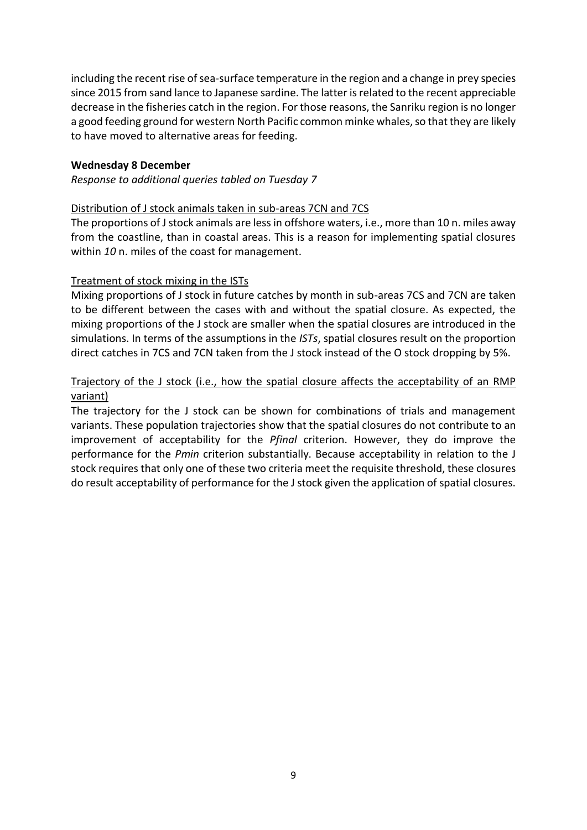including the recent rise of sea-surface temperature in the region and a change in prey species since 2015 from sand lance to Japanese sardine. The latter is related to the recent appreciable decrease in the fisheries catch in the region. For those reasons, the Sanriku region is no longer a good feeding ground for western North Pacific common minke whales, so that they are likely to have moved to alternative areas for feeding.

#### **Wednesday 8 December**

*Response to additional queries tabled on Tuesday 7*

### Distribution of J stock animals taken in sub-areas 7CN and 7CS

The proportions of J stock animals are less in offshore waters, i.e., more than 10 n. miles away from the coastline, than in coastal areas. This is a reason for implementing spatial closures within *10* n. miles of the coast for management.

## Treatment of stock mixing in the ISTs

Mixing proportions of J stock in future catches by month in sub-areas 7CS and 7CN are taken to be different between the cases with and without the spatial closure. As expected, the mixing proportions of the J stock are smaller when the spatial closures are introduced in the simulations. In terms of the assumptions in the *ISTs*, spatial closures result on the proportion direct catches in 7CS and 7CN taken from the J stock instead of the O stock dropping by 5%.

## Trajectory of the J stock (i.e., how the spatial closure affects the acceptability of an RMP variant)

The trajectory for the J stock can be shown for combinations of trials and management variants. These population trajectories show that the spatial closures do not contribute to an improvement of acceptability for the *Pfinal* criterion. However, they do improve the performance for the *Pmin* criterion substantially. Because acceptability in relation to the J stock requires that only one of these two criteria meet the requisite threshold, these closures do result acceptability of performance for the J stock given the application of spatial closures.